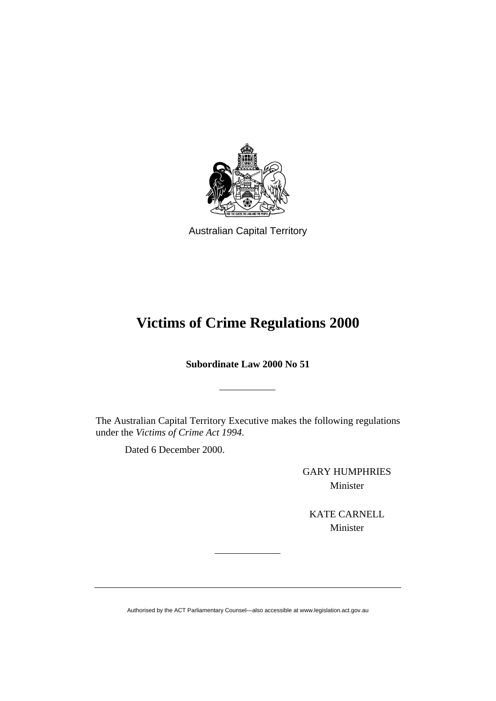

Australian Capital Territory

# **Victims of Crime Regulations 2000**

**Subordinate Law 2000 No 51** 

The Australian Capital Territory Executive makes the following regulations under the *Victims of Crime Act 1994*.

Dated 6 December 2000.

GARY HUMPHRIES Minister

KATE CARNELL Minister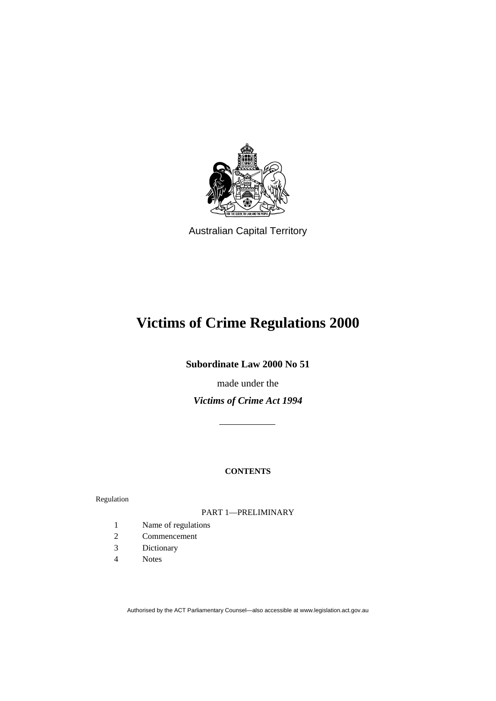

Australian Capital Territory

# **Victims of Crime Regulations 2000**

**Subordinate Law 2000 No 51** 

made under the

*Victims of Crime Act 1994*

# **CONTENTS**

Regulation

# PART 1—PRELIMINARY

- 1 Name of regulations
- 2 Commencement
- 3 Dictionary
- 4 Notes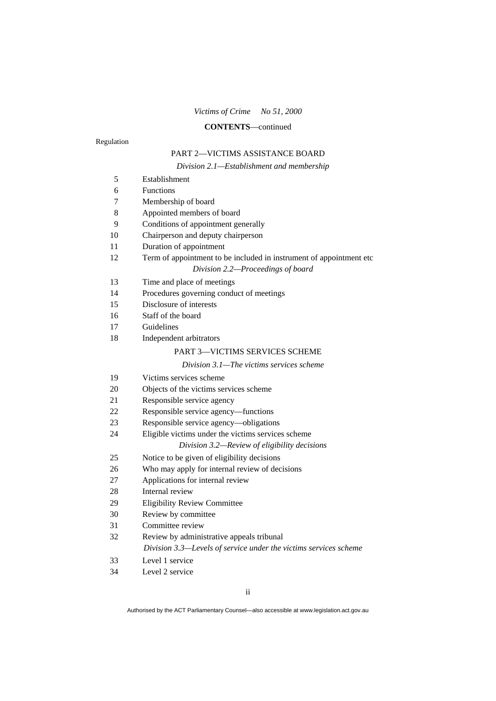#### **CONTENTS**—continued

Regulation

# PART 2—VICTIMS ASSISTANCE BOARD

*Division 2.1—Establishment and membership* 

| 5  | Establishment                                                       |
|----|---------------------------------------------------------------------|
| 6  | Functions                                                           |
| 7  | Membership of board                                                 |
| 8  | Appointed members of board                                          |
| 9  | Conditions of appointment generally                                 |
| 10 | Chairperson and deputy chairperson                                  |
| 11 | Duration of appointment                                             |
| 12 | Term of appointment to be included in instrument of appointment etc |
|    | Division 2.2-Proceedings of board                                   |
| 13 | Time and place of meetings                                          |
| 14 | Procedures governing conduct of meetings                            |
| 15 | Disclosure of interests                                             |
| 16 | Staff of the board                                                  |
| 17 | Guidelines                                                          |
| 18 | Independent arbitrators                                             |
|    | <b>PART 3-VICTIMS SERVICES SCHEME</b>                               |
|    | Division 3.1—The victims services scheme                            |
| 19 | Victims services scheme                                             |
| 20 | Objects of the victims services scheme                              |
| 21 | Responsible service agency                                          |
| 22 | Responsible service agency—functions                                |
| 23 | Responsible service agency-obligations                              |
| 24 | Eligible victims under the victims services scheme                  |
|    | Division 3.2—Review of eligibility decisions                        |
| 25 | Notice to be given of eligibility decisions                         |
| 26 | Who may apply for internal review of decisions                      |
| 27 | Applications for internal review                                    |
| 28 | Internal review                                                     |
| 29 | <b>Eligibility Review Committee</b>                                 |
| 30 | Review by committee                                                 |
| 31 | Committee review                                                    |
| 32 | Review by administrative appeals tribunal                           |
|    | Division 3.3-Levels of service under the victims services scheme    |
| 33 | Level 1 service                                                     |
| 34 | Level 2 service                                                     |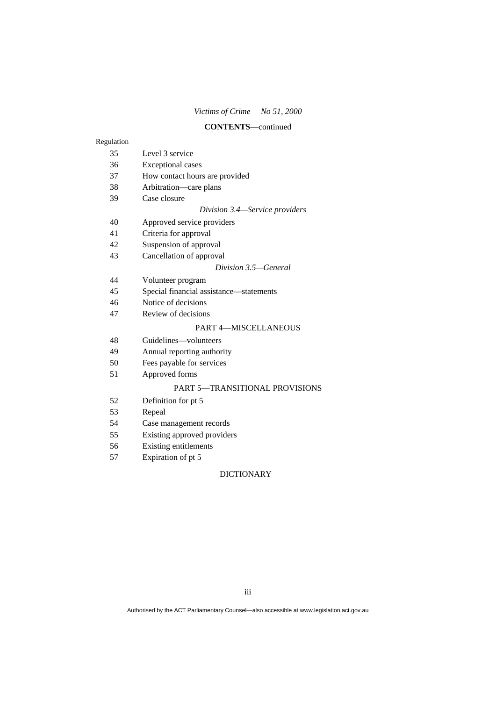#### **CONTENTS**—continued

#### Regulation

- 35 Level 3 service
- 36 Exceptional cases
- 37 How contact hours are provided
- 38 Arbitration—care plans
- 39 Case closure

#### *Division 3.4—Service providers*

- 40 Approved service providers
- 41 Criteria for approval
- 42 Suspension of approval
- 43 Cancellation of approval

#### *Division 3.5—General*

- 44 Volunteer program
- 45 Special financial assistance—statements
- 46 Notice of decisions
- 47 Review of decisions

#### PART 4—MISCELLANEOUS

- 48 Guidelines—volunteers
- 49 Annual reporting authority
- 50 Fees payable for services
- 51 Approved forms

#### PART 5—TRANSITIONAL PROVISIONS

- 52 Definition for pt 5
- 53 Repeal
- 54 Case management records
- 55 Existing approved providers
- 56 Existing entitlements
- 57 Expiration of pt 5

#### DICTIONARY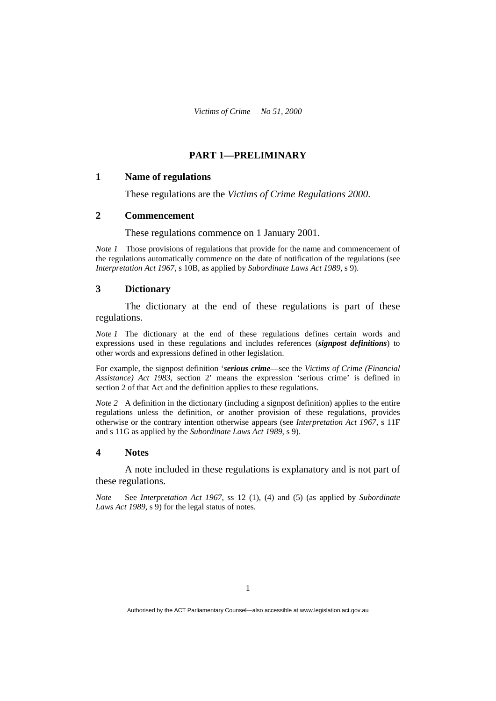# **PART 1—PRELIMINARY**

#### **1 Name of regulations**

These regulations are the *Victims of Crime Regulations 2000*.

#### **2 Commencement**

These regulations commence on 1 January 2001.

*Note 1* Those provisions of regulations that provide for the name and commencement of the regulations automatically commence on the date of notification of the regulations (see *Interpretation Act 1967*, s 10B, as applied by *Subordinate Laws Act 1989*, s 9).

## **3 Dictionary**

 The dictionary at the end of these regulations is part of these regulations.

*Note 1* The dictionary at the end of these regulations defines certain words and expressions used in these regulations and includes references (*signpost definitions*) to other words and expressions defined in other legislation.

For example, the signpost definition '*serious crime*—see the *Victims of Crime (Financial Assistance) Act 1983*, section 2' means the expression 'serious crime' is defined in section 2 of that Act and the definition applies to these regulations.

*Note 2* A definition in the dictionary (including a signpost definition) applies to the entire regulations unless the definition, or another provision of these regulations, provides otherwise or the contrary intention otherwise appears (see *Interpretation Act 1967*, s 11F and s 11G as applied by the *Subordinate Laws Act 1989*, s 9).

#### **4 Notes**

 A note included in these regulations is explanatory and is not part of these regulations.

*Note* See *Interpretation Act 1967*, ss 12 (1), (4) and (5) (as applied by *Subordinate Laws Act 1989*, s 9) for the legal status of notes.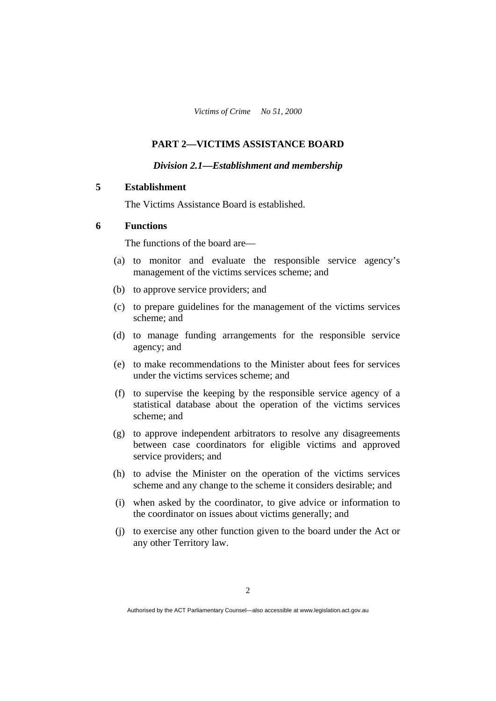## **PART 2—VICTIMS ASSISTANCE BOARD**

#### *Division 2.1—Establishment and membership*

## **5 Establishment**

The Victims Assistance Board is established.

## **6 Functions**

The functions of the board are—

- (a) to monitor and evaluate the responsible service agency's management of the victims services scheme; and
- (b) to approve service providers; and
- (c) to prepare guidelines for the management of the victims services scheme; and
- (d) to manage funding arrangements for the responsible service agency; and
- (e) to make recommendations to the Minister about fees for services under the victims services scheme; and
- (f) to supervise the keeping by the responsible service agency of a statistical database about the operation of the victims services scheme; and
- (g) to approve independent arbitrators to resolve any disagreements between case coordinators for eligible victims and approved service providers; and
- (h) to advise the Minister on the operation of the victims services scheme and any change to the scheme it considers desirable; and
- (i) when asked by the coordinator, to give advice or information to the coordinator on issues about victims generally; and
- (j) to exercise any other function given to the board under the Act or any other Territory law.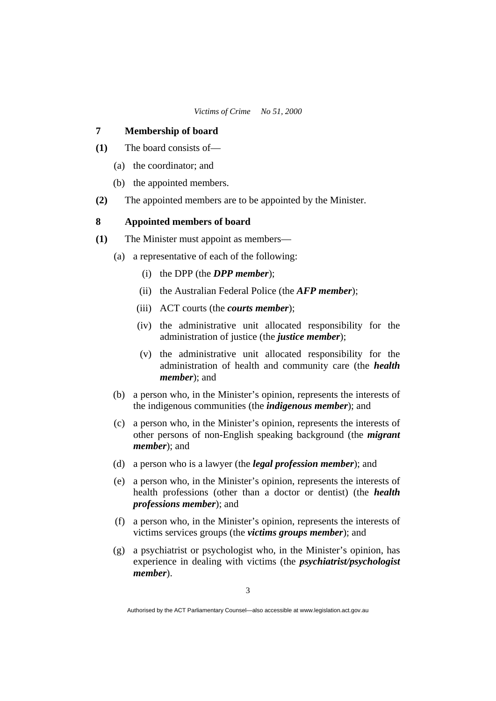## **7 Membership of board**

- **(1)** The board consists of—
	- (a) the coordinator; and
	- (b) the appointed members.
- **(2)** The appointed members are to be appointed by the Minister.

## **8 Appointed members of board**

- **(1)** The Minister must appoint as members—
	- (a) a representative of each of the following:
		- (i) the DPP (the *DPP member*);
		- (ii) the Australian Federal Police (the *AFP member*);
		- (iii) ACT courts (the *courts member*);
		- (iv) the administrative unit allocated responsibility for the administration of justice (the *justice member*);
		- (v) the administrative unit allocated responsibility for the administration of health and community care (the *health member*); and
	- (b) a person who, in the Minister's opinion, represents the interests of the indigenous communities (the *indigenous member*); and
	- (c) a person who, in the Minister's opinion, represents the interests of other persons of non-English speaking background (the *migrant member*); and
	- (d) a person who is a lawyer (the *legal profession member*); and
	- (e) a person who, in the Minister's opinion, represents the interests of health professions (other than a doctor or dentist) (the *health professions member*); and
	- (f) a person who, in the Minister's opinion, represents the interests of victims services groups (the *victims groups member*); and
	- (g) a psychiatrist or psychologist who, in the Minister's opinion, has experience in dealing with victims (the *psychiatrist/psychologist member*).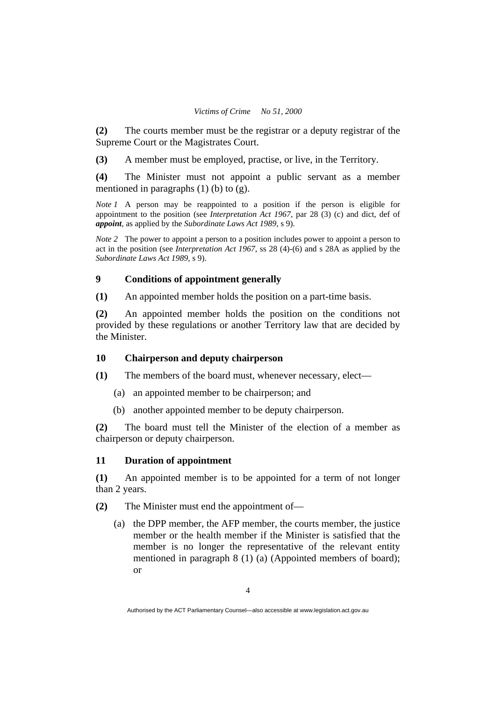**(2)** The courts member must be the registrar or a deputy registrar of the Supreme Court or the Magistrates Court.

**(3)** A member must be employed, practise, or live, in the Territory.

**(4)** The Minister must not appoint a public servant as a member mentioned in paragraphs  $(1)$  (b) to  $(g)$ .

*Note 1* A person may be reappointed to a position if the person is eligible for appointment to the position (see *Interpretation Act 1967*, par 28 (3) (c) and dict, def of *appoint*, as applied by the *Subordinate Laws Act 1989*, s 9).

*Note 2* The power to appoint a person to a position includes power to appoint a person to act in the position (see *Interpretation Act 1967*, ss 28 (4)-(6) and s 28A as applied by the *Subordinate Laws Act 1989*, s 9).

## **9 Conditions of appointment generally**

**(1)** An appointed member holds the position on a part-time basis.

**(2)** An appointed member holds the position on the conditions not provided by these regulations or another Territory law that are decided by the Minister.

## **10 Chairperson and deputy chairperson**

**(1)** The members of the board must, whenever necessary, elect—

- (a) an appointed member to be chairperson; and
- (b) another appointed member to be deputy chairperson.

**(2)** The board must tell the Minister of the election of a member as chairperson or deputy chairperson.

#### **11 Duration of appointment**

**(1)** An appointed member is to be appointed for a term of not longer than 2 years.

**(2)** The Minister must end the appointment of—

 (a) the DPP member, the AFP member, the courts member, the justice member or the health member if the Minister is satisfied that the member is no longer the representative of the relevant entity mentioned in paragraph 8 (1) (a) (Appointed members of board); or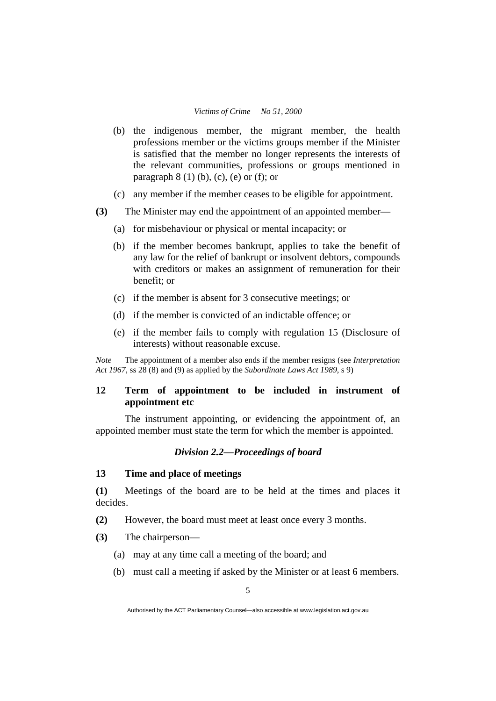- (b) the indigenous member, the migrant member, the health professions member or the victims groups member if the Minister is satisfied that the member no longer represents the interests of the relevant communities, professions or groups mentioned in paragraph  $8(1)$  (b), (c), (e) or (f); or
- (c) any member if the member ceases to be eligible for appointment.
- **(3)** The Minister may end the appointment of an appointed member—
	- (a) for misbehaviour or physical or mental incapacity; or
	- (b) if the member becomes bankrupt, applies to take the benefit of any law for the relief of bankrupt or insolvent debtors, compounds with creditors or makes an assignment of remuneration for their benefit; or
	- (c) if the member is absent for 3 consecutive meetings; or
	- (d) if the member is convicted of an indictable offence; or
	- (e) if the member fails to comply with regulation 15 (Disclosure of interests) without reasonable excuse.

*Note* The appointment of a member also ends if the member resigns (see *Interpretation Act 1967*, ss 28 (8) and (9) as applied by the *Subordinate Laws Act 1989*, s 9)

# **12 Term of appointment to be included in instrument of appointment etc**

The instrument appointing, or evidencing the appointment of, an appointed member must state the term for which the member is appointed.

#### *Division 2.2—Proceedings of board*

# **13 Time and place of meetings**

**(1)** Meetings of the board are to be held at the times and places it decides.

**(2)** However, the board must meet at least once every 3 months.

- **(3)** The chairperson—
	- (a) may at any time call a meeting of the board; and
	- (b) must call a meeting if asked by the Minister or at least 6 members.

Authorised by the ACT Parliamentary Counsel—also accessible at www.legislation.act.gov.au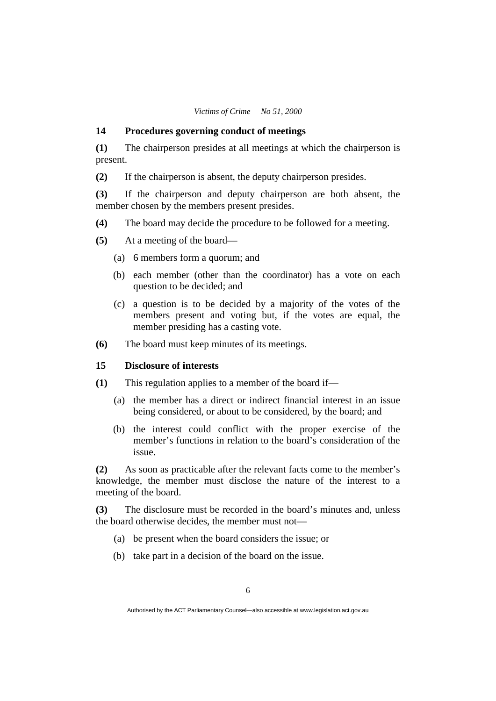#### **14 Procedures governing conduct of meetings**

**(1)** The chairperson presides at all meetings at which the chairperson is present.

**(2)** If the chairperson is absent, the deputy chairperson presides.

**(3)** If the chairperson and deputy chairperson are both absent, the member chosen by the members present presides.

- **(4)** The board may decide the procedure to be followed for a meeting.
- **(5)** At a meeting of the board—
	- (a) 6 members form a quorum; and
	- (b) each member (other than the coordinator) has a vote on each question to be decided; and
	- (c) a question is to be decided by a majority of the votes of the members present and voting but, if the votes are equal, the member presiding has a casting vote.
- **(6)** The board must keep minutes of its meetings.

#### **15 Disclosure of interests**

- **(1)** This regulation applies to a member of the board if—
	- (a) the member has a direct or indirect financial interest in an issue being considered, or about to be considered, by the board; and
	- (b) the interest could conflict with the proper exercise of the member's functions in relation to the board's consideration of the issue.

**(2)** As soon as practicable after the relevant facts come to the member's knowledge, the member must disclose the nature of the interest to a meeting of the board.

**(3)** The disclosure must be recorded in the board's minutes and, unless the board otherwise decides, the member must not—

- (a) be present when the board considers the issue; or
- (b) take part in a decision of the board on the issue.

Authorised by the ACT Parliamentary Counsel—also accessible at www.legislation.act.gov.au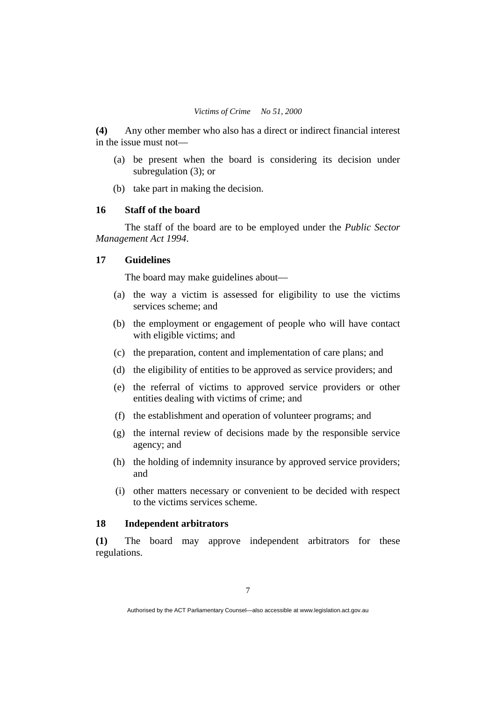**(4)** Any other member who also has a direct or indirect financial interest in the issue must not—

- (a) be present when the board is considering its decision under subregulation (3); or
- (b) take part in making the decision.

## **16 Staff of the board**

The staff of the board are to be employed under the *Public Sector Management Act 1994*.

## **17 Guidelines**

The board may make guidelines about—

- (a) the way a victim is assessed for eligibility to use the victims services scheme; and
- (b) the employment or engagement of people who will have contact with eligible victims; and
- (c) the preparation, content and implementation of care plans; and
- (d) the eligibility of entities to be approved as service providers; and
- (e) the referral of victims to approved service providers or other entities dealing with victims of crime; and
- (f) the establishment and operation of volunteer programs; and
- (g) the internal review of decisions made by the responsible service agency; and
- (h) the holding of indemnity insurance by approved service providers; and
- (i) other matters necessary or convenient to be decided with respect to the victims services scheme.

### **18 Independent arbitrators**

**(1)** The board may approve independent arbitrators for these regulations.

Authorised by the ACT Parliamentary Counsel—also accessible at www.legislation.act.gov.au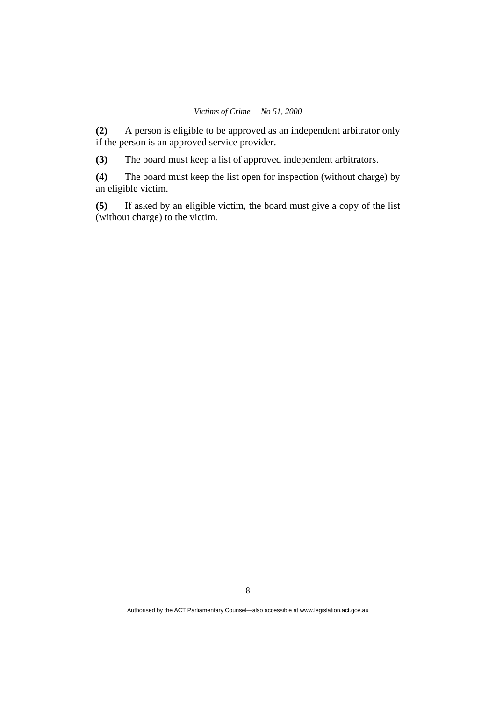**(2)** A person is eligible to be approved as an independent arbitrator only if the person is an approved service provider.

**(3)** The board must keep a list of approved independent arbitrators.

**(4)** The board must keep the list open for inspection (without charge) by an eligible victim.

**(5)** If asked by an eligible victim, the board must give a copy of the list (without charge) to the victim.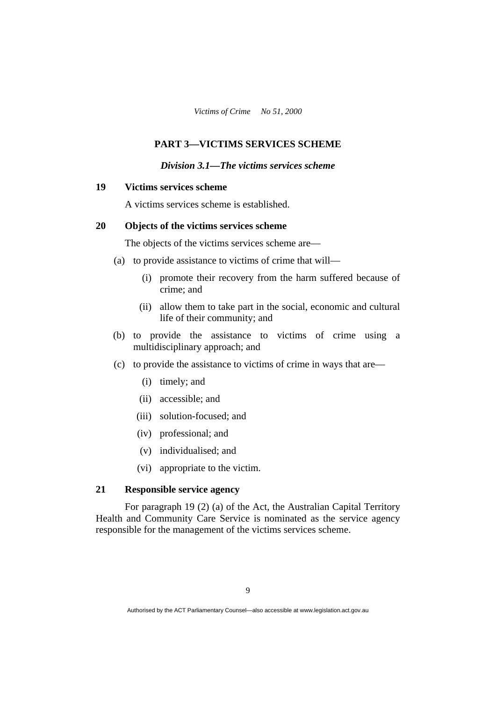# **PART 3—VICTIMS SERVICES SCHEME**

#### *Division 3.1—The victims services scheme*

## **19 Victims services scheme**

A victims services scheme is established.

# **20 Objects of the victims services scheme**

The objects of the victims services scheme are—

- (a) to provide assistance to victims of crime that will—
	- (i) promote their recovery from the harm suffered because of crime; and
	- (ii) allow them to take part in the social, economic and cultural life of their community; and
- (b) to provide the assistance to victims of crime using a multidisciplinary approach; and
- (c) to provide the assistance to victims of crime in ways that are—
	- (i) timely; and
	- (ii) accessible; and
	- (iii) solution-focused; and
	- (iv) professional; and
	- (v) individualised; and
	- (vi) appropriate to the victim.

## **21 Responsible service agency**

For paragraph 19 (2) (a) of the Act, the Australian Capital Territory Health and Community Care Service is nominated as the service agency responsible for the management of the victims services scheme.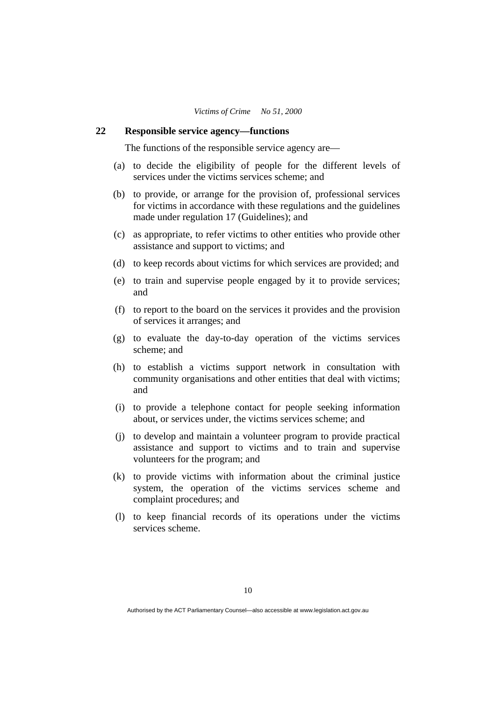#### **22 Responsible service agency—functions**

The functions of the responsible service agency are—

- (a) to decide the eligibility of people for the different levels of services under the victims services scheme; and
- (b) to provide, or arrange for the provision of, professional services for victims in accordance with these regulations and the guidelines made under regulation 17 (Guidelines); and
- (c) as appropriate, to refer victims to other entities who provide other assistance and support to victims; and
- (d) to keep records about victims for which services are provided; and
- (e) to train and supervise people engaged by it to provide services; and
- (f) to report to the board on the services it provides and the provision of services it arranges; and
- (g) to evaluate the day-to-day operation of the victims services scheme; and
- (h) to establish a victims support network in consultation with community organisations and other entities that deal with victims; and
- (i) to provide a telephone contact for people seeking information about, or services under, the victims services scheme; and
- (j) to develop and maintain a volunteer program to provide practical assistance and support to victims and to train and supervise volunteers for the program; and
- (k) to provide victims with information about the criminal justice system, the operation of the victims services scheme and complaint procedures; and
- (l) to keep financial records of its operations under the victims services scheme.

Authorised by the ACT Parliamentary Counsel—also accessible at www.legislation.act.gov.au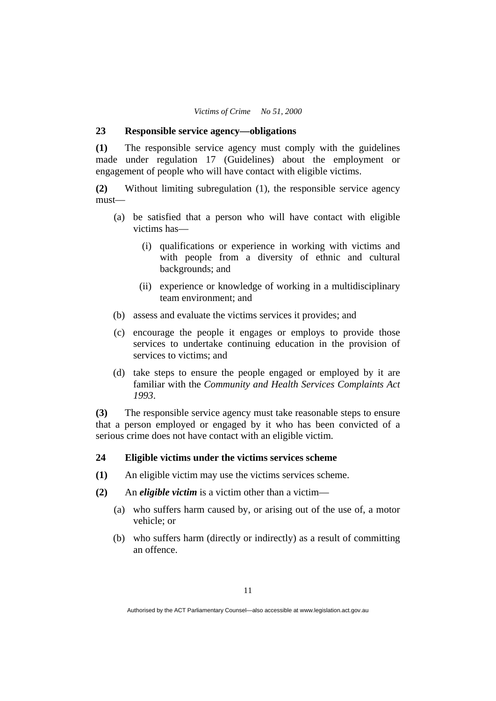#### **23 Responsible service agency—obligations**

**(1)** The responsible service agency must comply with the guidelines made under regulation 17 (Guidelines) about the employment or engagement of people who will have contact with eligible victims.

**(2)** Without limiting subregulation (1), the responsible service agency must—

- (a) be satisfied that a person who will have contact with eligible victims has—
	- (i) qualifications or experience in working with victims and with people from a diversity of ethnic and cultural backgrounds; and
	- (ii) experience or knowledge of working in a multidisciplinary team environment; and
- (b) assess and evaluate the victims services it provides; and
- (c) encourage the people it engages or employs to provide those services to undertake continuing education in the provision of services to victims; and
- (d) take steps to ensure the people engaged or employed by it are familiar with the *Community and Health Services Complaints Act 1993*.

**(3)** The responsible service agency must take reasonable steps to ensure that a person employed or engaged by it who has been convicted of a serious crime does not have contact with an eligible victim.

# **24 Eligible victims under the victims services scheme**

- **(1)** An eligible victim may use the victims services scheme.
- **(2)** An *eligible victim* is a victim other than a victim—
	- (a) who suffers harm caused by, or arising out of the use of, a motor vehicle; or
	- (b) who suffers harm (directly or indirectly) as a result of committing an offence.

Authorised by the ACT Parliamentary Counsel—also accessible at www.legislation.act.gov.au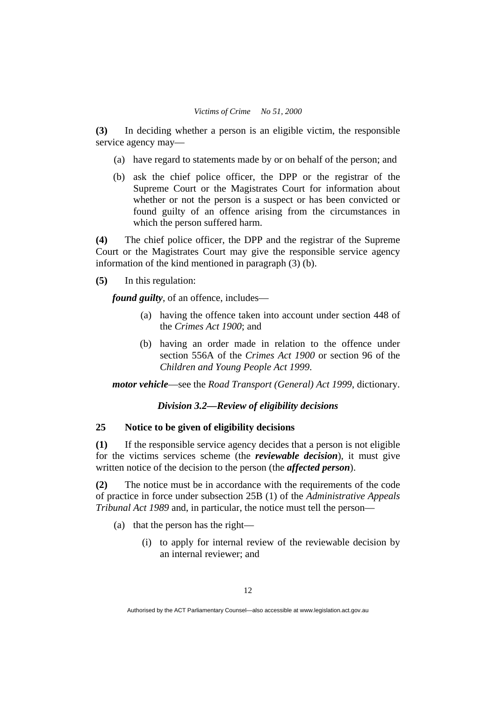**(3)** In deciding whether a person is an eligible victim, the responsible service agency may—

- (a) have regard to statements made by or on behalf of the person; and
- (b) ask the chief police officer, the DPP or the registrar of the Supreme Court or the Magistrates Court for information about whether or not the person is a suspect or has been convicted or found guilty of an offence arising from the circumstances in which the person suffered harm.

**(4)** The chief police officer, the DPP and the registrar of the Supreme Court or the Magistrates Court may give the responsible service agency information of the kind mentioned in paragraph (3) (b).

**(5)** In this regulation:

*found guilty*, of an offence, includes—

- (a) having the offence taken into account under section 448 of the *Crimes Act 1900*; and
- (b) having an order made in relation to the offence under section 556A of the *Crimes Act 1900* or section 96 of the *Children and Young People Act 1999*.

*motor vehicle*—see the *Road Transport (General) Act 1999*, dictionary.

## *Division 3.2—Review of eligibility decisions*

# **25 Notice to be given of eligibility decisions**

**(1)** If the responsible service agency decides that a person is not eligible for the victims services scheme (the *reviewable decision*), it must give written notice of the decision to the person (the *affected person*).

**(2)** The notice must be in accordance with the requirements of the code of practice in force under subsection 25B (1) of the *Administrative Appeals Tribunal Act 1989* and, in particular, the notice must tell the person—

- (a) that the person has the right—
	- (i) to apply for internal review of the reviewable decision by an internal reviewer; and

Authorised by the ACT Parliamentary Counsel—also accessible at www.legislation.act.gov.au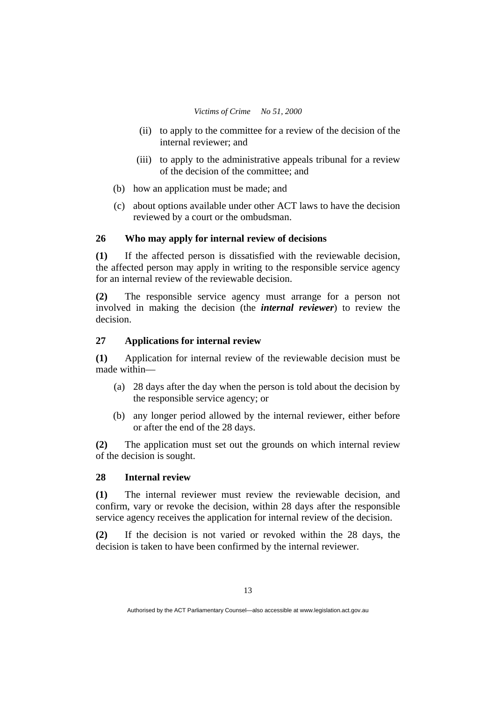- (ii) to apply to the committee for a review of the decision of the internal reviewer; and
- (iii) to apply to the administrative appeals tribunal for a review of the decision of the committee; and
- (b) how an application must be made; and
- (c) about options available under other ACT laws to have the decision reviewed by a court or the ombudsman.

#### **26 Who may apply for internal review of decisions**

**(1)** If the affected person is dissatisfied with the reviewable decision, the affected person may apply in writing to the responsible service agency for an internal review of the reviewable decision.

**(2)** The responsible service agency must arrange for a person not involved in making the decision (the *internal reviewer*) to review the decision.

## **27 Applications for internal review**

**(1)** Application for internal review of the reviewable decision must be made within—

- (a) 28 days after the day when the person is told about the decision by the responsible service agency; or
- (b) any longer period allowed by the internal reviewer, either before or after the end of the 28 days.

**(2)** The application must set out the grounds on which internal review of the decision is sought.

#### **28 Internal review**

**(1)** The internal reviewer must review the reviewable decision, and confirm, vary or revoke the decision, within 28 days after the responsible service agency receives the application for internal review of the decision.

**(2)** If the decision is not varied or revoked within the 28 days, the decision is taken to have been confirmed by the internal reviewer.

Authorised by the ACT Parliamentary Counsel—also accessible at www.legislation.act.gov.au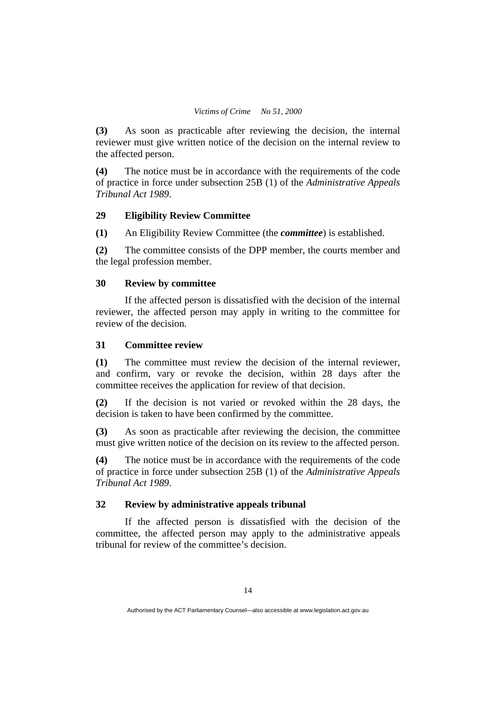**(3)** As soon as practicable after reviewing the decision, the internal reviewer must give written notice of the decision on the internal review to the affected person.

**(4)** The notice must be in accordance with the requirements of the code of practice in force under subsection 25B (1) of the *Administrative Appeals Tribunal Act 1989*.

## **29 Eligibility Review Committee**

**(1)** An Eligibility Review Committee (the *committee*) is established.

**(2)** The committee consists of the DPP member, the courts member and the legal profession member.

## **30 Review by committee**

If the affected person is dissatisfied with the decision of the internal reviewer, the affected person may apply in writing to the committee for review of the decision.

## **31 Committee review**

**(1)** The committee must review the decision of the internal reviewer, and confirm, vary or revoke the decision, within 28 days after the committee receives the application for review of that decision.

**(2)** If the decision is not varied or revoked within the 28 days, the decision is taken to have been confirmed by the committee.

**(3)** As soon as practicable after reviewing the decision, the committee must give written notice of the decision on its review to the affected person.

**(4)** The notice must be in accordance with the requirements of the code of practice in force under subsection 25B (1) of the *Administrative Appeals Tribunal Act 1989*.

## **32 Review by administrative appeals tribunal**

If the affected person is dissatisfied with the decision of the committee, the affected person may apply to the administrative appeals tribunal for review of the committee's decision.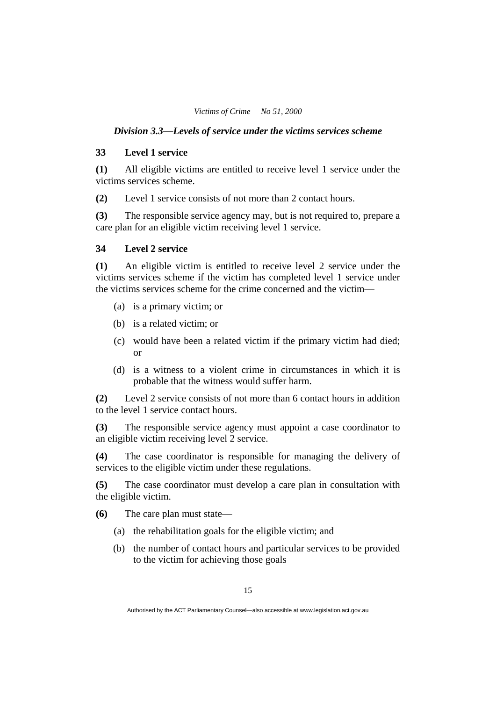#### *Division 3.3—Levels of service under the victims services scheme*

#### **33 Level 1 service**

**(1)** All eligible victims are entitled to receive level 1 service under the victims services scheme.

**(2)** Level 1 service consists of not more than 2 contact hours.

**(3)** The responsible service agency may, but is not required to, prepare a care plan for an eligible victim receiving level 1 service.

#### **34 Level 2 service**

**(1)** An eligible victim is entitled to receive level 2 service under the victims services scheme if the victim has completed level 1 service under the victims services scheme for the crime concerned and the victim—

- (a) is a primary victim; or
- (b) is a related victim; or
- (c) would have been a related victim if the primary victim had died; or
- (d) is a witness to a violent crime in circumstances in which it is probable that the witness would suffer harm.

**(2)** Level 2 service consists of not more than 6 contact hours in addition to the level 1 service contact hours.

**(3)** The responsible service agency must appoint a case coordinator to an eligible victim receiving level 2 service.

**(4)** The case coordinator is responsible for managing the delivery of services to the eligible victim under these regulations.

**(5)** The case coordinator must develop a care plan in consultation with the eligible victim.

**(6)** The care plan must state—

- (a) the rehabilitation goals for the eligible victim; and
- (b) the number of contact hours and particular services to be provided to the victim for achieving those goals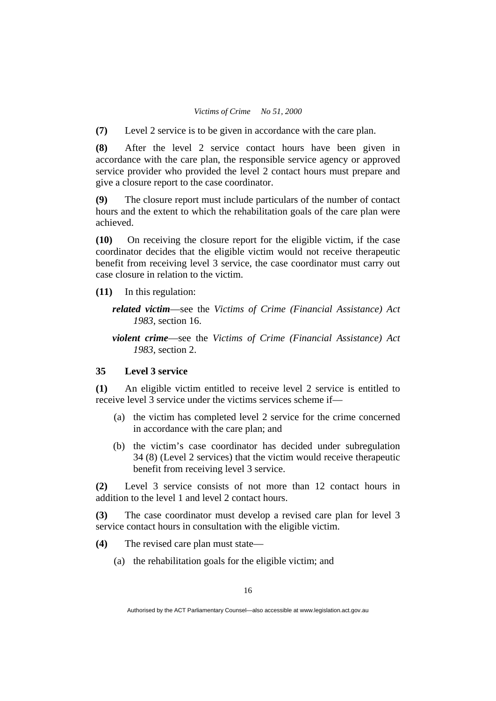**(7)** Level 2 service is to be given in accordance with the care plan.

**(8)** After the level 2 service contact hours have been given in accordance with the care plan, the responsible service agency or approved service provider who provided the level 2 contact hours must prepare and give a closure report to the case coordinator.

**(9)** The closure report must include particulars of the number of contact hours and the extent to which the rehabilitation goals of the care plan were achieved.

**(10)** On receiving the closure report for the eligible victim, if the case coordinator decides that the eligible victim would not receive therapeutic benefit from receiving level 3 service, the case coordinator must carry out case closure in relation to the victim.

**(11)** In this regulation:

- *related victim*—see the *Victims of Crime (Financial Assistance) Act 1983*, section 16.
- *violent crime*—see the *Victims of Crime (Financial Assistance) Act 1983*, section 2.

#### **35 Level 3 service**

**(1)** An eligible victim entitled to receive level 2 service is entitled to receive level 3 service under the victims services scheme if—

- (a) the victim has completed level 2 service for the crime concerned in accordance with the care plan; and
- (b) the victim's case coordinator has decided under subregulation 34 (8) (Level 2 services) that the victim would receive therapeutic benefit from receiving level 3 service.

**(2)** Level 3 service consists of not more than 12 contact hours in addition to the level 1 and level 2 contact hours.

**(3)** The case coordinator must develop a revised care plan for level 3 service contact hours in consultation with the eligible victim.

- **(4)** The revised care plan must state—
	- (a) the rehabilitation goals for the eligible victim; and

Authorised by the ACT Parliamentary Counsel—also accessible at www.legislation.act.gov.au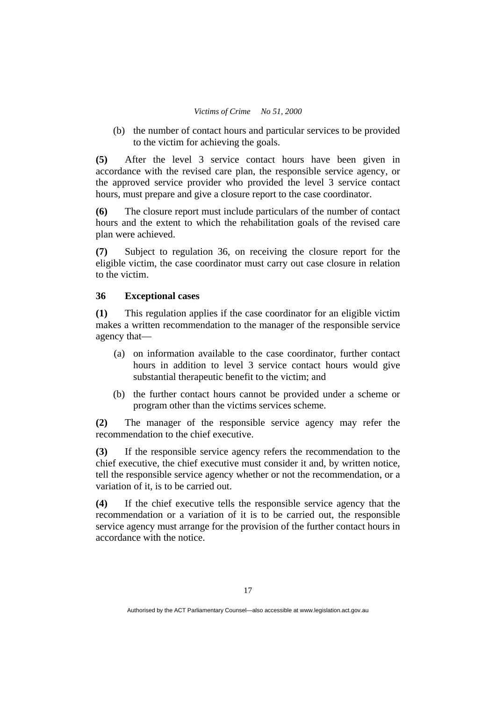(b) the number of contact hours and particular services to be provided to the victim for achieving the goals.

**(5)** After the level 3 service contact hours have been given in accordance with the revised care plan, the responsible service agency, or the approved service provider who provided the level 3 service contact hours, must prepare and give a closure report to the case coordinator.

**(6)** The closure report must include particulars of the number of contact hours and the extent to which the rehabilitation goals of the revised care plan were achieved.

**(7)** Subject to regulation 36, on receiving the closure report for the eligible victim, the case coordinator must carry out case closure in relation to the victim.

## **36 Exceptional cases**

**(1)** This regulation applies if the case coordinator for an eligible victim makes a written recommendation to the manager of the responsible service agency that—

- (a) on information available to the case coordinator, further contact hours in addition to level 3 service contact hours would give substantial therapeutic benefit to the victim; and
- (b) the further contact hours cannot be provided under a scheme or program other than the victims services scheme.

**(2)** The manager of the responsible service agency may refer the recommendation to the chief executive.

**(3)** If the responsible service agency refers the recommendation to the chief executive, the chief executive must consider it and, by written notice, tell the responsible service agency whether or not the recommendation, or a variation of it, is to be carried out.

**(4)** If the chief executive tells the responsible service agency that the recommendation or a variation of it is to be carried out, the responsible service agency must arrange for the provision of the further contact hours in accordance with the notice.

Authorised by the ACT Parliamentary Counsel—also accessible at www.legislation.act.gov.au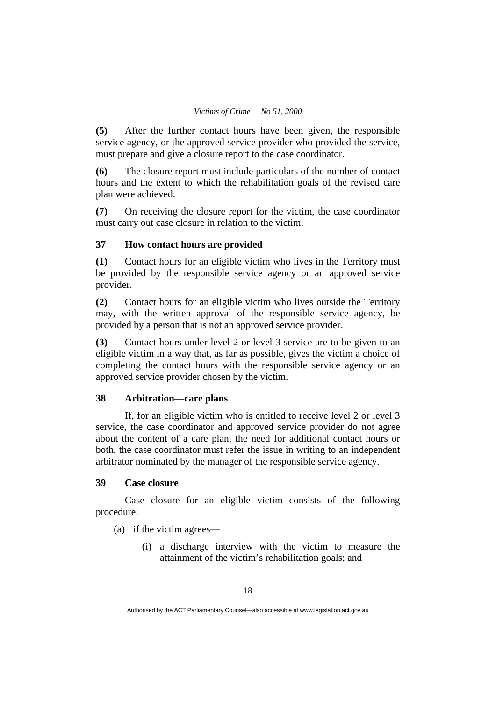**(5)** After the further contact hours have been given, the responsible service agency, or the approved service provider who provided the service, must prepare and give a closure report to the case coordinator.

**(6)** The closure report must include particulars of the number of contact hours and the extent to which the rehabilitation goals of the revised care plan were achieved.

**(7)** On receiving the closure report for the victim, the case coordinator must carry out case closure in relation to the victim.

## **37 How contact hours are provided**

**(1)** Contact hours for an eligible victim who lives in the Territory must be provided by the responsible service agency or an approved service provider.

**(2)** Contact hours for an eligible victim who lives outside the Territory may, with the written approval of the responsible service agency, be provided by a person that is not an approved service provider.

**(3)** Contact hours under level 2 or level 3 service are to be given to an eligible victim in a way that, as far as possible, gives the victim a choice of completing the contact hours with the responsible service agency or an approved service provider chosen by the victim.

# **38 Arbitration—care plans**

If, for an eligible victim who is entitled to receive level 2 or level 3 service, the case coordinator and approved service provider do not agree about the content of a care plan, the need for additional contact hours or both, the case coordinator must refer the issue in writing to an independent arbitrator nominated by the manager of the responsible service agency.

## **39 Case closure**

Case closure for an eligible victim consists of the following procedure:

(a) if the victim agrees—

 (i) a discharge interview with the victim to measure the attainment of the victim's rehabilitation goals; and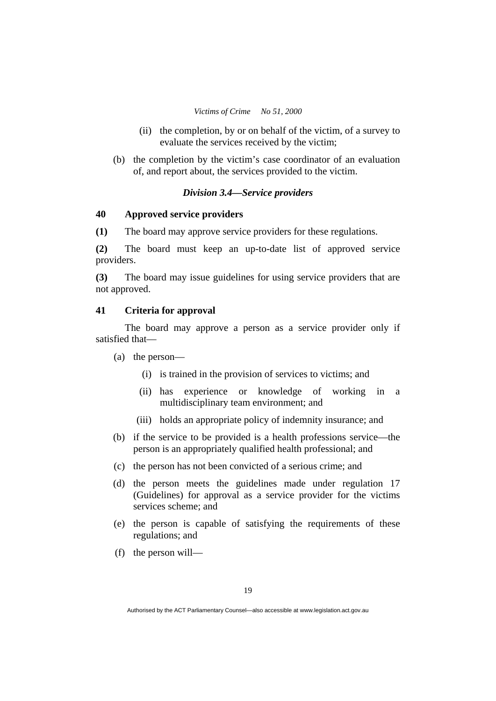- (ii) the completion, by or on behalf of the victim, of a survey to evaluate the services received by the victim;
- (b) the completion by the victim's case coordinator of an evaluation of, and report about, the services provided to the victim.

## *Division 3.4—Service providers*

# **40 Approved service providers**

**(1)** The board may approve service providers for these regulations.

**(2)** The board must keep an up-to-date list of approved service providers.

**(3)** The board may issue guidelines for using service providers that are not approved.

#### **41 Criteria for approval**

The board may approve a person as a service provider only if satisfied that—

- (a) the person—
	- (i) is trained in the provision of services to victims; and
	- (ii) has experience or knowledge of working in a multidisciplinary team environment; and
	- (iii) holds an appropriate policy of indemnity insurance; and
- (b) if the service to be provided is a health professions service—the person is an appropriately qualified health professional; and
- (c) the person has not been convicted of a serious crime; and
- (d) the person meets the guidelines made under regulation 17 (Guidelines) for approval as a service provider for the victims services scheme; and
- (e) the person is capable of satisfying the requirements of these regulations; and
- (f) the person will—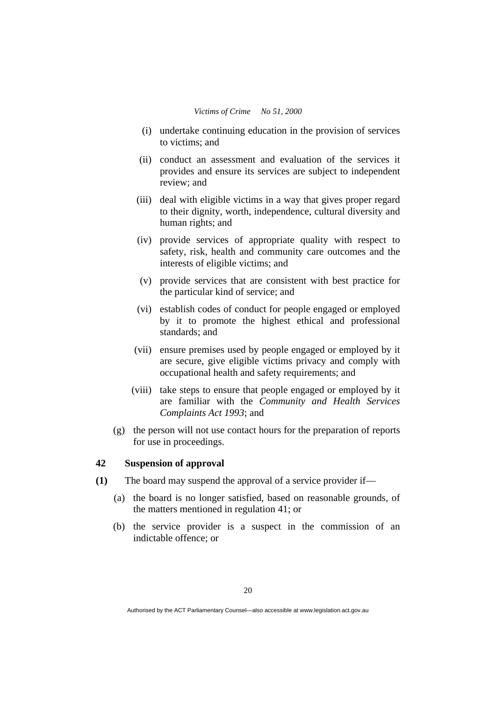- (i) undertake continuing education in the provision of services to victims; and
- (ii) conduct an assessment and evaluation of the services it provides and ensure its services are subject to independent review; and
- (iii) deal with eligible victims in a way that gives proper regard to their dignity, worth, independence, cultural diversity and human rights; and
- (iv) provide services of appropriate quality with respect to safety, risk, health and community care outcomes and the interests of eligible victims; and
- (v) provide services that are consistent with best practice for the particular kind of service; and
- (vi) establish codes of conduct for people engaged or employed by it to promote the highest ethical and professional standards; and
- (vii) ensure premises used by people engaged or employed by it are secure, give eligible victims privacy and comply with occupational health and safety requirements; and
- (viii) take steps to ensure that people engaged or employed by it are familiar with the *Community and Health Services Complaints Act 1993*; and
- (g) the person will not use contact hours for the preparation of reports for use in proceedings.

# **42 Suspension of approval**

- **(1)** The board may suspend the approval of a service provider if—
	- (a) the board is no longer satisfied, based on reasonable grounds, of the matters mentioned in regulation 41; or
	- (b) the service provider is a suspect in the commission of an indictable offence; or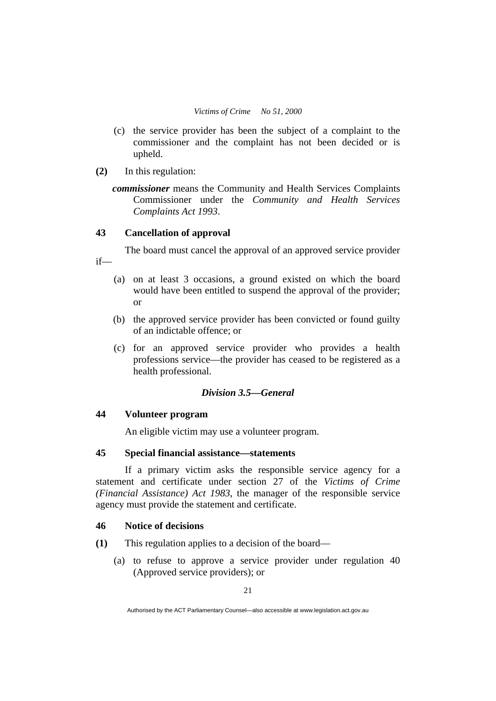- (c) the service provider has been the subject of a complaint to the commissioner and the complaint has not been decided or is upheld.
- **(2)** In this regulation:

if—

*commissioner* means the Community and Health Services Complaints Commissioner under the *Community and Health Services Complaints Act 1993*.

# **43 Cancellation of approval**

The board must cancel the approval of an approved service provider

- (a) on at least 3 occasions, a ground existed on which the board would have been entitled to suspend the approval of the provider; or
- (b) the approved service provider has been convicted or found guilty of an indictable offence; or
- (c) for an approved service provider who provides a health professions service—the provider has ceased to be registered as a health professional.

# *Division 3.5—General*

# **44 Volunteer program**

An eligible victim may use a volunteer program.

# **45 Special financial assistance—statements**

If a primary victim asks the responsible service agency for a statement and certificate under section 27 of the *Victims of Crime (Financial Assistance) Act 1983*, the manager of the responsible service agency must provide the statement and certificate.

#### **46 Notice of decisions**

- **(1)** This regulation applies to a decision of the board—
	- (a) to refuse to approve a service provider under regulation 40 (Approved service providers); or

Authorised by the ACT Parliamentary Counsel—also accessible at www.legislation.act.gov.au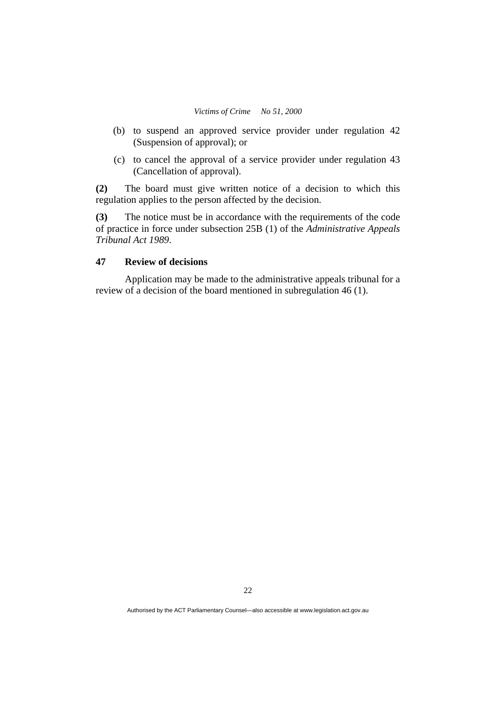- (b) to suspend an approved service provider under regulation 42 (Suspension of approval); or
- (c) to cancel the approval of a service provider under regulation 43 (Cancellation of approval).

**(2)** The board must give written notice of a decision to which this regulation applies to the person affected by the decision.

**(3)** The notice must be in accordance with the requirements of the code of practice in force under subsection 25B (1) of the *Administrative Appeals Tribunal Act 1989*.

# **47 Review of decisions**

Application may be made to the administrative appeals tribunal for a review of a decision of the board mentioned in subregulation 46 (1).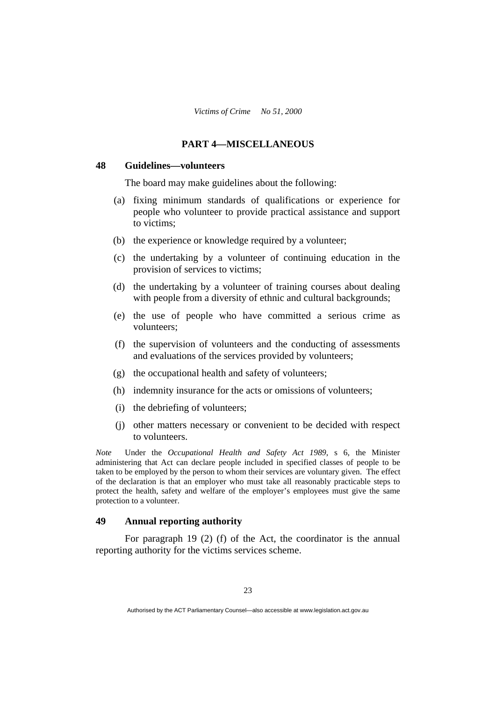## **PART 4—MISCELLANEOUS**

#### **48 Guidelines—volunteers**

The board may make guidelines about the following:

- (a) fixing minimum standards of qualifications or experience for people who volunteer to provide practical assistance and support to victims;
- (b) the experience or knowledge required by a volunteer;
- (c) the undertaking by a volunteer of continuing education in the provision of services to victims;
- (d) the undertaking by a volunteer of training courses about dealing with people from a diversity of ethnic and cultural backgrounds;
- (e) the use of people who have committed a serious crime as volunteers;
- (f) the supervision of volunteers and the conducting of assessments and evaluations of the services provided by volunteers;
- (g) the occupational health and safety of volunteers;
- (h) indemnity insurance for the acts or omissions of volunteers;
- (i) the debriefing of volunteers;
- (j) other matters necessary or convenient to be decided with respect to volunteers.

*Note* Under the *Occupational Health and Safety Act 1989*, s 6, the Minister administering that Act can declare people included in specified classes of people to be taken to be employed by the person to whom their services are voluntary given. The effect of the declaration is that an employer who must take all reasonably practicable steps to protect the health, safety and welfare of the employer's employees must give the same protection to a volunteer.

## **49 Annual reporting authority**

For paragraph 19 (2) (f) of the Act, the coordinator is the annual reporting authority for the victims services scheme.

Authorised by the ACT Parliamentary Counsel—also accessible at www.legislation.act.gov.au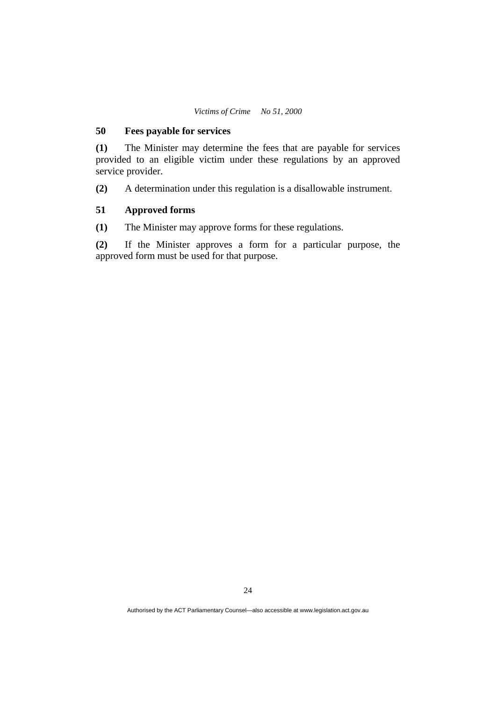## **50 Fees payable for services**

**(1)** The Minister may determine the fees that are payable for services provided to an eligible victim under these regulations by an approved service provider.

**(2)** A determination under this regulation is a disallowable instrument.

## **51 Approved forms**

**(1)** The Minister may approve forms for these regulations.

**(2)** If the Minister approves a form for a particular purpose, the approved form must be used for that purpose.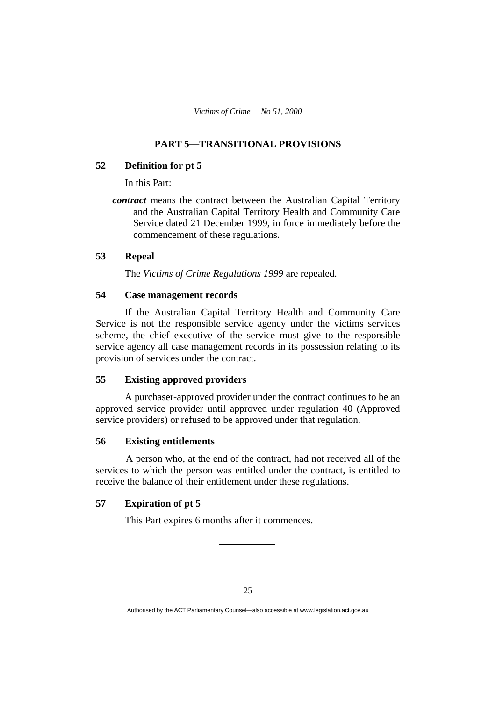# **PART 5—TRANSITIONAL PROVISIONS**

#### **52 Definition for pt 5**

In this Part:

*contract* means the contract between the Australian Capital Territory and the Australian Capital Territory Health and Community Care Service dated 21 December 1999, in force immediately before the commencement of these regulations.

## **53 Repeal**

The *Victims of Crime Regulations 1999* are repealed.

## **54 Case management records**

If the Australian Capital Territory Health and Community Care Service is not the responsible service agency under the victims services scheme, the chief executive of the service must give to the responsible service agency all case management records in its possession relating to its provision of services under the contract.

## **55 Existing approved providers**

A purchaser-approved provider under the contract continues to be an approved service provider until approved under regulation 40 (Approved service providers) or refused to be approved under that regulation.

## **56 Existing entitlements**

 A person who, at the end of the contract, had not received all of the services to which the person was entitled under the contract, is entitled to receive the balance of their entitlement under these regulations.

## **57 Expiration of pt 5**

This Part expires 6 months after it commences.

Authorised by the ACT Parliamentary Counsel—also accessible at www.legislation.act.gov.au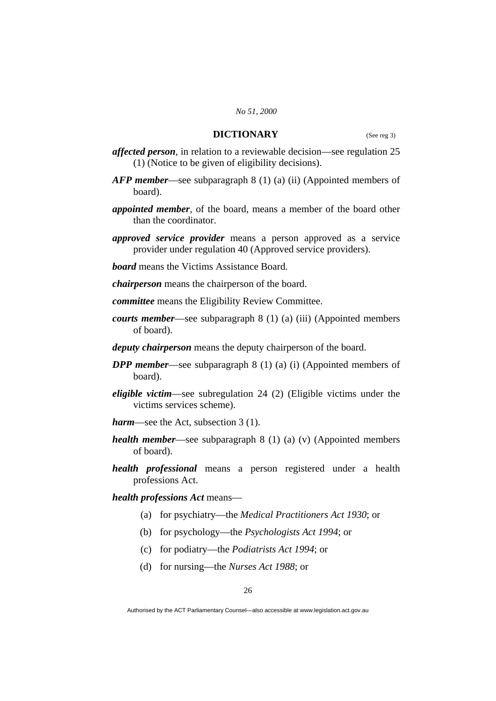#### *No 51, 2000*

## **DICTIONARY** (See reg 3)

- *affected person*, in relation to a reviewable decision—see regulation 25 (1) (Notice to be given of eligibility decisions).
- *AFP member*—see subparagraph 8 (1) (a) (ii) (Appointed members of board).
- *appointed member*, of the board, means a member of the board other than the coordinator.
- *approved service provider* means a person approved as a service provider under regulation 40 (Approved service providers).
- *board* means the Victims Assistance Board.

*chairperson* means the chairperson of the board.

- *committee* means the Eligibility Review Committee.
- *courts member*—see subparagraph 8 (1) (a) (iii) (Appointed members of board).
- *deputy chairperson* means the deputy chairperson of the board.
- *DPP member*—see subparagraph 8 (1) (a) (i) (Appointed members of board).
- *eligible victim*—see subregulation 24 (2) (Eligible victims under the victims services scheme).
- *harm*—see the Act, subsection 3 (1).
- *health member*—see subparagraph 8 (1) (a) (v) (Appointed members of board).
- *health professional* means a person registered under a health professions Act.

*health professions Act* means—

- (a) for psychiatry—the *Medical Practitioners Act 1930*; or
- (b) for psychology—the *Psychologists Act 1994*; or
- (c) for podiatry—the *Podiatrists Act 1994*; or
- (d) for nursing—the *Nurses Act 1988*; or

Authorised by the ACT Parliamentary Counsel—also accessible at www.legislation.act.gov.au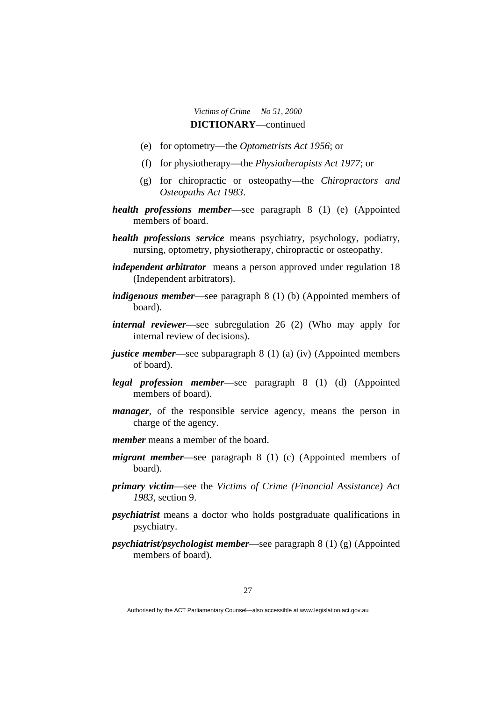# *Victims of Crime No 51, 2000*  **DICTIONARY**—continued

- (e) for optometry—the *Optometrists Act 1956*; or
- (f) for physiotherapy—the *Physiotherapists Act 1977*; or
- (g) for chiropractic or osteopathy—the *Chiropractors and Osteopaths Act 1983*.
- *health professions member*—see paragraph 8 (1) (e) (Appointed members of board.
- *health professions service* means psychiatry, psychology, podiatry, nursing, optometry, physiotherapy, chiropractic or osteopathy.
- *independent arbitrator* means a person approved under regulation 18 (Independent arbitrators).
- *indigenous member*—see paragraph 8 (1) (b) (Appointed members of board).
- *internal reviewer*—see subregulation 26 (2) (Who may apply for internal review of decisions).
- *justice member*—see subparagraph 8 (1) (a) (iv) (Appointed members of board).
- *legal profession member*—see paragraph 8 (1) (d) (Appointed members of board).
- *manager*, of the responsible service agency, means the person in charge of the agency.
- *member* means a member of the board.
- *migrant member*—see paragraph 8 (1) (c) (Appointed members of board).
- *primary victim*—see the *Victims of Crime (Financial Assistance) Act 1983*, section 9.
- *psychiatrist* means a doctor who holds postgraduate qualifications in psychiatry.
- *psychiatrist/psychologist member*—see paragraph 8 (1) (g) (Appointed members of board).

Authorised by the ACT Parliamentary Counsel—also accessible at www.legislation.act.gov.au